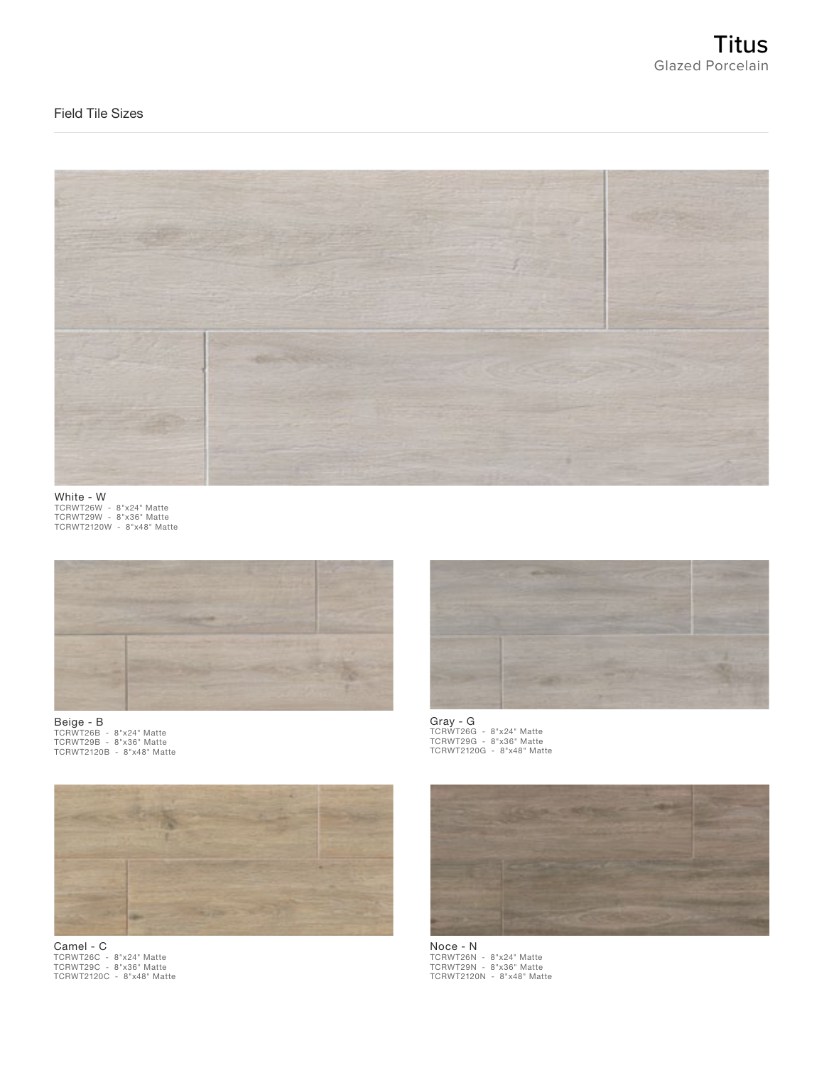# Field Tile Sizes



White - W TCRWT26W - 8"x24" Matte TCRWT29W - 8"x36" Matte TCRWT2120W - 8"x48" Matte



Beige - B TCRWT26B - 8"x24" Matte TCRWT29B - 8"x36" Matte TCRWT2120B - 8"x48" Matte



Camel - C TCRWT26C - 8"x24" Matte TCRWT29C - 8"x36" Matte TCRWT2120C - 8"x48" Matte



Gray - G TCRWT26G - 8"x24" Matte TCRWT29G - 8"x36" Matte TCRWT2120G - 8"x48" Matte



Noce - N TCRWT26N - 8"x24" Matte TCRWT29N - 8"x36" Matte TCRWT2120N - 8"x48" Matte